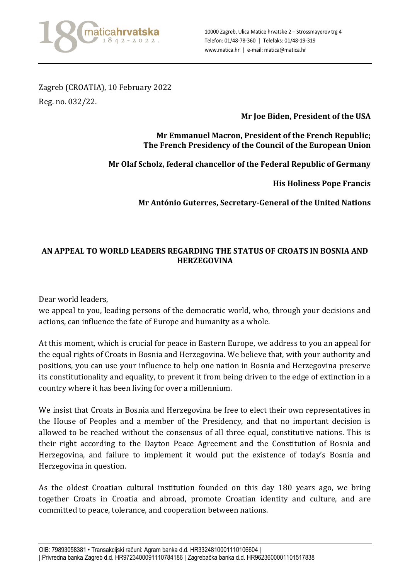

Zagreb (CROATIA), 10 February 2022 Reg. no. 032/22.

## **Mr Joe Biden, President of the USA**

## **Mr Emmanuel Macron, President of the French Republic; The French Presidency of the Council of the European Union**

**Mr Olaf Scholz, federal chancellor of the Federal Republic of Germany**

**His Holiness Pope Francis**

**Mr António Guterres, Secretary-General of the United Nations**

## **AN APPEAL TO WORLD LEADERS REGARDING THE STATUS OF CROATS IN BOSNIA AND HERZEGOVINA**

Dear world leaders,

we appeal to you, leading persons of the democratic world, who, through your decisions and actions, can influence the fate of Europe and humanity as a whole.

At this moment, which is crucial for peace in Eastern Europe, we address to you an appeal for the equal rights of Croats in Bosnia and Herzegovina. We believe that, with your authority and positions, you can use your influence to help one nation in Bosnia and Herzegovina preserve its constitutionality and equality, to prevent it from being driven to the edge of extinction in a country where it has been living for over a millennium.

We insist that Croats in Bosnia and Herzegovina be free to elect their own representatives in the House of Peoples and a member of the Presidency, and that no important decision is allowed to be reached without the consensus of all three equal, constitutive nations. This is their right according to the Dayton Peace Agreement and the Constitution of Bosnia and Herzegovina, and failure to implement it would put the existence of today's Bosnia and Herzegovina in question.

As the oldest Croatian cultural institution founded on this day 180 years ago, we bring together Croats in Croatia and abroad, promote Croatian identity and culture, and are committed to peace, tolerance, and cooperation between nations.